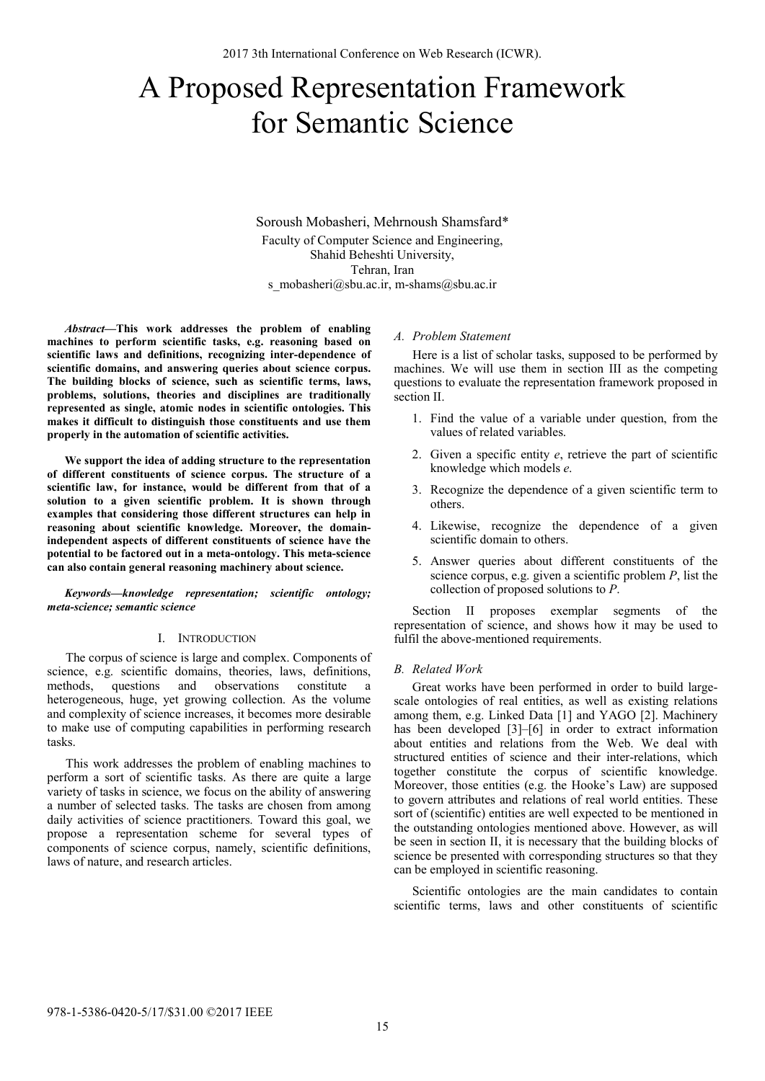# A Proposed Representation Framework for Semantic Science

Soroush Mobasheri, Mehrnoush Shamsfard\* Faculty of Computer Science and Engineering, Shahid Beheshti University, Tehran, Iran s\_mobasheri@sbu.ac.ir, m-shams@sbu.ac.ir

*Abstract***—This work addresses the problem of enabling machines to perform scientific tasks, e.g. reasoning based on scientific laws and definitions, recognizing inter-dependence of scientific domains, and answering queries about science corpus. The building blocks of science, such as scientific terms, laws, problems, solutions, theories and disciplines are traditionally represented as single, atomic nodes in scientific ontologies. This makes it difficult to distinguish those constituents and use them properly in the automation of scientific activities.** 

**We support the idea of adding structure to the representation of different constituents of science corpus. The structure of a scientific law, for instance, would be different from that of a solution to a given scientific problem. It is shown through examples that considering those different structures can help in reasoning about scientific knowledge. Moreover, the domainindependent aspects of different constituents of science have the potential to be factored out in a meta-ontology. This meta-science can also contain general reasoning machinery about science.** 

*Keywords—knowledge representation; scientific ontology; meta-science; semantic science* 

# I. INTRODUCTION

The corpus of science is large and complex. Components of science, e.g. scientific domains, theories, laws, definitions, methods, questions and observations constitute a heterogeneous, huge, yet growing collection. As the volume and complexity of science increases, it becomes more desirable to make use of computing capabilities in performing research tasks.

This work addresses the problem of enabling machines to perform a sort of scientific tasks. As there are quite a large variety of tasks in science, we focus on the ability of answering a number of selected tasks. The tasks are chosen from among daily activities of science practitioners. Toward this goal, we propose a representation scheme for several types of components of science corpus, namely, scientific definitions, laws of nature, and research articles.

## *A. Problem Statement*

Here is a list of scholar tasks, supposed to be performed by machines. We will use them in section III as the competing questions to evaluate the representation framework proposed in section II.

- 1. Find the value of a variable under question, from the values of related variables.
- 2. Given a specific entity *e*, retrieve the part of scientific knowledge which models *e*.
- 3. Recognize the dependence of a given scientific term to others.
- 4. Likewise, recognize the dependence of a given scientific domain to others.
- 5. Answer queries about different constituents of the science corpus, e.g. given a scientific problem *P*, list the collection of proposed solutions to *P*.

Section II proposes exemplar segments of the representation of science, and shows how it may be used to fulfil the above-mentioned requirements.

#### *B. Related Work*

Great works have been performed in order to build largescale ontologies of real entities, as well as existing relations among them, e.g. Linked Data [1] and YAGO [2]. Machinery has been developed [3]–[6] in order to extract information about entities and relations from the Web. We deal with structured entities of science and their inter-relations, which together constitute the corpus of scientific knowledge. Moreover, those entities (e.g. the Hooke's Law) are supposed to govern attributes and relations of real world entities. These sort of (scientific) entities are well expected to be mentioned in the outstanding ontologies mentioned above. However, as will be seen in section II, it is necessary that the building blocks of science be presented with corresponding structures so that they can be employed in scientific reasoning.

Scientific ontologies are the main candidates to contain scientific terms, laws and other constituents of scientific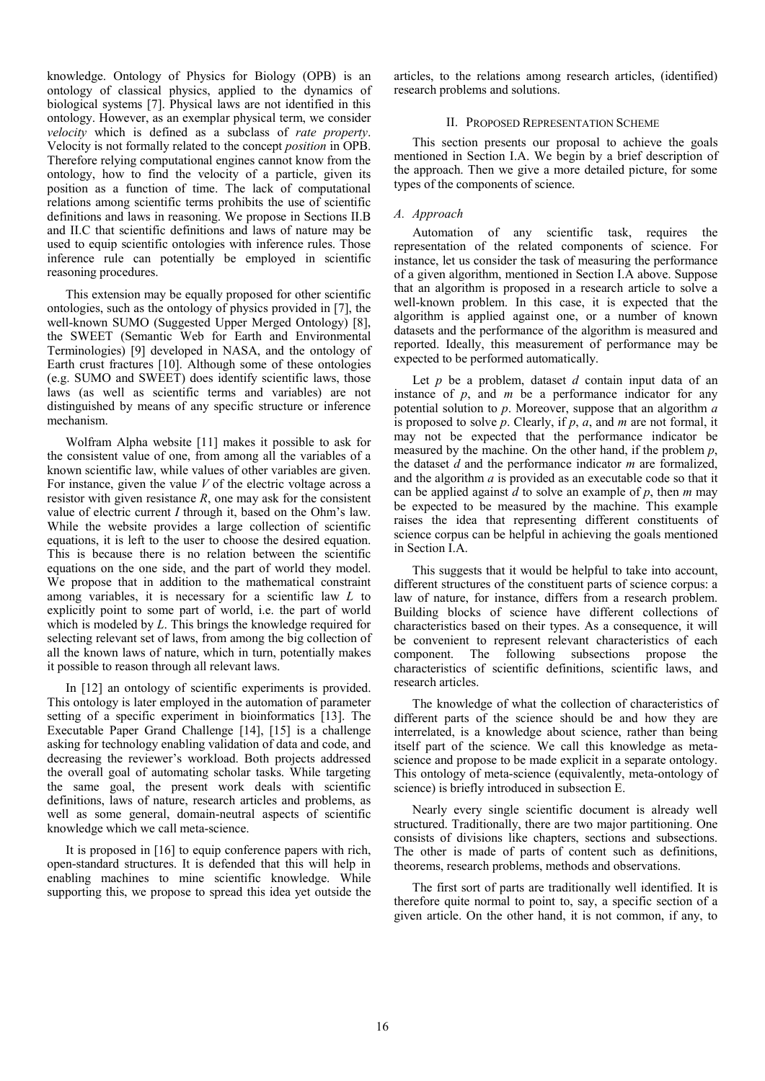knowledge. Ontology of Physics for Biology (OPB) is an ontology of classical physics, applied to the dynamics of biological systems [7]. Physical laws are not identified in this ontology. However, as an exemplar physical term, we consider *velocity* which is defined as a subclass of *rate property*. Velocity is not formally related to the concept *position* in OPB. Therefore relying computational engines cannot know from the ontology, how to find the velocity of a particle, given its position as a function of time. The lack of computational relations among scientific terms prohibits the use of scientific definitions and laws in reasoning. We propose in Sections II.B and II.C that scientific definitions and laws of nature may be used to equip scientific ontologies with inference rules. Those inference rule can potentially be employed in scientific reasoning procedures.

This extension may be equally proposed for other scientific ontologies, such as the ontology of physics provided in [7], the well-known SUMO (Suggested Upper Merged Ontology) [8], the SWEET (Semantic Web for Earth and Environmental Terminologies) [9] developed in NASA, and the ontology of Earth crust fractures [10]. Although some of these ontologies (e.g. SUMO and SWEET) does identify scientific laws, those laws (as well as scientific terms and variables) are not distinguished by means of any specific structure or inference mechanism.

Wolfram Alpha website [11] makes it possible to ask for the consistent value of one, from among all the variables of a known scientific law, while values of other variables are given. For instance, given the value *V* of the electric voltage across a resistor with given resistance  $R$ , one may ask for the consistent value of electric current *I* through it, based on the Ohm's law. While the website provides a large collection of scientific equations, it is left to the user to choose the desired equation. This is because there is no relation between the scientific equations on the one side, and the part of world they model. We propose that in addition to the mathematical constraint among variables, it is necessary for a scientific law *L* to explicitly point to some part of world, i.e. the part of world which is modeled by *L*. This brings the knowledge required for selecting relevant set of laws, from among the big collection of all the known laws of nature, which in turn, potentially makes it possible to reason through all relevant laws.

In [12] an ontology of scientific experiments is provided. This ontology is later employed in the automation of parameter setting of a specific experiment in bioinformatics [13]. The Executable Paper Grand Challenge [14], [15] is a challenge asking for technology enabling validation of data and code, and decreasing the reviewer's workload. Both projects addressed the overall goal of automating scholar tasks. While targeting the same goal, the present work deals with scientific definitions, laws of nature, research articles and problems, as well as some general, domain-neutral aspects of scientific knowledge which we call meta-science.

It is proposed in [16] to equip conference papers with rich, open-standard structures. It is defended that this will help in enabling machines to mine scientific knowledge. While supporting this, we propose to spread this idea yet outside the articles, to the relations among research articles, (identified) research problems and solutions.

# II. PROPOSED REPRESENTATION SCHEME

This section presents our proposal to achieve the goals mentioned in Section I.A. We begin by a brief description of the approach. Then we give a more detailed picture, for some types of the components of science.

# *A. Approach*

Automation of any scientific task, requires the representation of the related components of science. For instance, let us consider the task of measuring the performance of a given algorithm, mentioned in Section I.A above. Suppose that an algorithm is proposed in a research article to solve a well-known problem. In this case, it is expected that the algorithm is applied against one, or a number of known datasets and the performance of the algorithm is measured and reported. Ideally, this measurement of performance may be expected to be performed automatically.

Let *p* be a problem, dataset *d* contain input data of an instance of *p*, and *m* be a performance indicator for any potential solution to *p*. Moreover, suppose that an algorithm *a* is proposed to solve *p*. Clearly, if *p*, *a*, and *m* are not formal, it may not be expected that the performance indicator be measured by the machine. On the other hand, if the problem *p*, the dataset *d* and the performance indicator *m* are formalized, and the algorithm *a* is provided as an executable code so that it can be applied against *d* to solve an example of *p*, then *m* may be expected to be measured by the machine. This example raises the idea that representing different constituents of science corpus can be helpful in achieving the goals mentioned in Section I.A.

This suggests that it would be helpful to take into account, different structures of the constituent parts of science corpus: a law of nature, for instance, differs from a research problem. Building blocks of science have different collections of characteristics based on their types. As a consequence, it will be convenient to represent relevant characteristics of each component. The following subsections propose the characteristics of scientific definitions, scientific laws, and research articles.

The knowledge of what the collection of characteristics of different parts of the science should be and how they are interrelated, is a knowledge about science, rather than being itself part of the science. We call this knowledge as metascience and propose to be made explicit in a separate ontology. This ontology of meta-science (equivalently, meta-ontology of science) is briefly introduced in subsection E.

Nearly every single scientific document is already well structured. Traditionally, there are two major partitioning. One consists of divisions like chapters, sections and subsections. The other is made of parts of content such as definitions, theorems, research problems, methods and observations.

The first sort of parts are traditionally well identified. It is therefore quite normal to point to, say, a specific section of a given article. On the other hand, it is not common, if any, to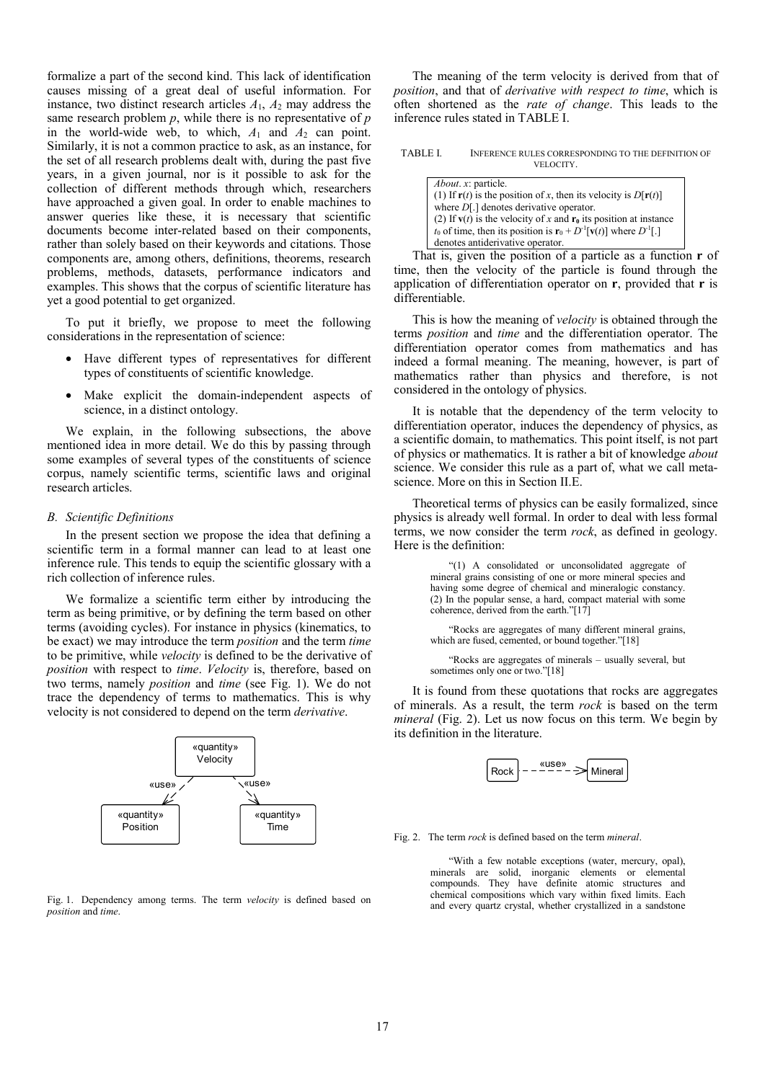formalize a part of the second kind. This lack of identification causes missing of a great deal of useful information. For instance, two distinct research articles  $A_1$ ,  $A_2$  may address the same research problem *p*, while there is no representative of *p* in the world-wide web, to which, *A*1 and *A*2 can point. Similarly, it is not a common practice to ask, as an instance, for the set of all research problems dealt with, during the past five years, in a given journal, nor is it possible to ask for the collection of different methods through which, researchers have approached a given goal. In order to enable machines to answer queries like these, it is necessary that scientific documents become inter-related based on their components, rather than solely based on their keywords and citations. Those components are, among others, definitions, theorems, research problems, methods, datasets, performance indicators and examples. This shows that the corpus of scientific literature has yet a good potential to get organized.

To put it briefly, we propose to meet the following considerations in the representation of science:

- Have different types of representatives for different types of constituents of scientific knowledge.
- Make explicit the domain-independent aspects of science, in a distinct ontology.

We explain, in the following subsections, the above mentioned idea in more detail. We do this by passing through some examples of several types of the constituents of science corpus, namely scientific terms, scientific laws and original research articles.

## *B. Scientific Definitions*

In the present section we propose the idea that defining a scientific term in a formal manner can lead to at least one inference rule. This tends to equip the scientific glossary with a rich collection of inference rules.

We formalize a scientific term either by introducing the term as being primitive, or by defining the term based on other terms (avoiding cycles). For instance in physics (kinematics, to be exact) we may introduce the term *position* and the term *time* to be primitive, while *velocity* is defined to be the derivative of *position* with respect to *time*. *Velocity* is, therefore, based on two terms, namely *position* and *time* (see Fig. 1). We do not trace the dependency of terms to mathematics. This is why velocity is not considered to depend on the term *derivative*.



Fig. 1. Dependency among terms. The term *velocity* is defined based on *position* and *time*.

The meaning of the term velocity is derived from that of *position*, and that of *derivative with respect to time*, which is often shortened as the *rate of change*. This leads to the inference rules stated in TABLE I.

| <b>TABLE I.</b> | INFERENCE RULES CORRESPONDING TO THE DEFINITION OF |
|-----------------|----------------------------------------------------|
|                 | VELOCITY.                                          |

| <i>About. x:</i> particle.                                                                   |
|----------------------------------------------------------------------------------------------|
| (1) If $r(t)$ is the position of x, then its velocity is $D[r(t)]$                           |
| where $D[.]$ denotes derivative operator.                                                    |
| (2) If $v(t)$ is the velocity of x and $r_0$ its position at instance                        |
| $t_0$ of time, then its position is $\mathbf{r}_0 + D^{-1}[\mathbf{v}(t)]$ where $D^{-1}[.]$ |
| denotes antiderivative operator.                                                             |

That is, given the position of a particle as a function **r** of time, then the velocity of the particle is found through the application of differentiation operator on **r**, provided that **r** is differentiable.

This is how the meaning of *velocity* is obtained through the terms *position* and *time* and the differentiation operator. The differentiation operator comes from mathematics and has indeed a formal meaning. The meaning, however, is part of mathematics rather than physics and therefore, is not considered in the ontology of physics.

It is notable that the dependency of the term velocity to differentiation operator, induces the dependency of physics, as a scientific domain, to mathematics. This point itself, is not part of physics or mathematics. It is rather a bit of knowledge *about* science. We consider this rule as a part of, what we call metascience. More on this in Section II.E.

Theoretical terms of physics can be easily formalized, since physics is already well formal. In order to deal with less formal terms, we now consider the term *rock*, as defined in geology. Here is the definition:

> "(1) A consolidated or unconsolidated aggregate of mineral grains consisting of one or more mineral species and having some degree of chemical and mineralogic constancy. (2) In the popular sense, a hard, compact material with some coherence, derived from the earth."[17]

> "Rocks are aggregates of many different mineral grains, which are fused, cemented, or bound together."[18]

> "Rocks are aggregates of minerals – usually several, but sometimes only one or two."[18]

It is found from these quotations that rocks are aggregates of minerals. As a result, the term *rock* is based on the term *mineral* (Fig. 2). Let us now focus on this term. We begin by its definition in the literature.



Fig. 2. The term *rock* is defined based on the term *mineral*.

"With a few notable exceptions (water, mercury, opal), minerals are solid, inorganic elements or elemental compounds. They have definite atomic structures and chemical compositions which vary within fixed limits. Each and every quartz crystal, whether crystallized in a sandstone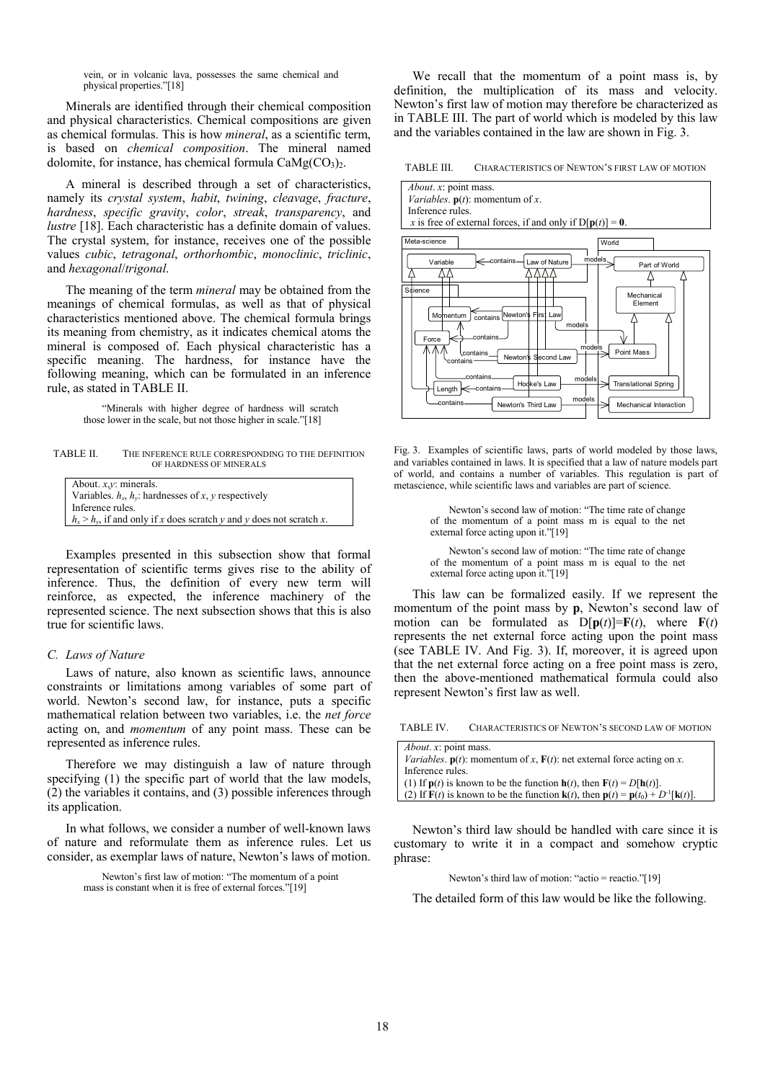vein, or in volcanic lava, possesses the same chemical and physical properties."[18]

Minerals are identified through their chemical composition and physical characteristics. Chemical compositions are given as chemical formulas. This is how *mineral*, as a scientific term, is based on *chemical composition*. The mineral named dolomite, for instance, has chemical formula  $CaMg(CO<sub>3</sub>)<sub>2</sub>$ .

A mineral is described through a set of characteristics, namely its *crystal system*, *habit*, *twining*, *cleavage*, *fracture*, *hardness*, *specific gravity*, *color*, *streak*, *transparency*, and *lustre* [18]. Each characteristic has a definite domain of values. The crystal system, for instance, receives one of the possible values *cubic*, *tetragonal*, *orthorhombic*, *monoclinic*, *triclinic*, and *hexagonal*/*trigonal*.

The meaning of the term *mineral* may be obtained from the meanings of chemical formulas, as well as that of physical characteristics mentioned above. The chemical formula brings its meaning from chemistry, as it indicates chemical atoms the mineral is composed of. Each physical characteristic has a specific meaning. The hardness, for instance have the following meaning, which can be formulated in an inference rule, as stated in TABLE II.

> "Minerals with higher degree of hardness will scratch those lower in the scale, but not those higher in scale."[18]

TABLE II. THE INFERENCE RULE CORRESPONDING TO THE DEFINITION OF HARDNESS OF MINERALS

| About. $x, y$ : minerals.                                               |
|-------------------------------------------------------------------------|
| Variables. $h_x$ , $h_y$ : hardnesses of x, y respectively              |
| Inference rules.                                                        |
| $h_x > h_y$ , if and only if x does scratch y and y does not scratch x. |

Examples presented in this subsection show that formal representation of scientific terms gives rise to the ability of inference. Thus, the definition of every new term will reinforce, as expected, the inference machinery of the represented science. The next subsection shows that this is also true for scientific laws.

## *C. Laws of Nature*

Laws of nature, also known as scientific laws, announce constraints or limitations among variables of some part of world. Newton's second law, for instance, puts a specific mathematical relation between two variables, i.e. the *net force* acting on, and *momentum* of any point mass. These can be represented as inference rules.

Therefore we may distinguish a law of nature through specifying (1) the specific part of world that the law models, (2) the variables it contains, and (3) possible inferences through its application.

In what follows, we consider a number of well-known laws of nature and reformulate them as inference rules. Let us consider, as exemplar laws of nature, Newton's laws of motion.

> Newton's first law of motion: "The momentum of a point mass is constant when it is free of external forces."[19]

We recall that the momentum of a point mass is, by definition, the multiplication of its mass and velocity. Newton's first law of motion may therefore be characterized as in TABLE III. The part of world which is modeled by this law and the variables contained in the law are shown in Fig. 3.

TABLE III. CHARACTERISTICS OF NEWTON'S FIRST LAW OF MOTION



Fig. 3. Examples of scientific laws, parts of world modeled by those laws, and variables contained in laws. It is specified that a law of nature models part of world, and contains a number of variables. This regulation is part of metascience, while scientific laws and variables are part of science.

> Newton's second law of motion: "The time rate of change of the momentum of a point mass m is equal to the net external force acting upon it."[19]

> Newton's second law of motion: "The time rate of change of the momentum of a point mass m is equal to the net external force acting upon it."[19]

This law can be formalized easily. If we represent the momentum of the point mass by **p**, Newton's second law of motion can be formulated as  $D[p(t)] = F(t)$ , where  $F(t)$ represents the net external force acting upon the point mass (see TABLE IV. And Fig. 3). If, moreover, it is agreed upon that the net external force acting on a free point mass is zero, then the above-mentioned mathematical formula could also represent Newton's first law as well.

| TABLE IV.<br>CHARACTERISTICS OF NEWTON'S SECOND LAW OF MOTION |  |
|---------------------------------------------------------------|--|
|---------------------------------------------------------------|--|

| <i>About. x:</i> point mass.                                                                                                |
|-----------------------------------------------------------------------------------------------------------------------------|
| <i>Variables.</i> $p(t)$ : momentum of x, $F(t)$ : net external force acting on x.                                          |
| Inference rules.                                                                                                            |
| (1) If $p(t)$ is known to be the function $h(t)$ , then $F(t) = D[h(t)]$ .                                                  |
| (2) If $F(t)$ is known to be the function $\mathbf{k}(t)$ , then $\mathbf{p}(t) = \mathbf{p}(t_0) + D^{-1}[\mathbf{k}(t)].$ |
|                                                                                                                             |

Newton's third law should be handled with care since it is customary to write it in a compact and somehow cryptic phrase:

Newton's third law of motion: "actio = reactio."[19]

The detailed form of this law would be like the following.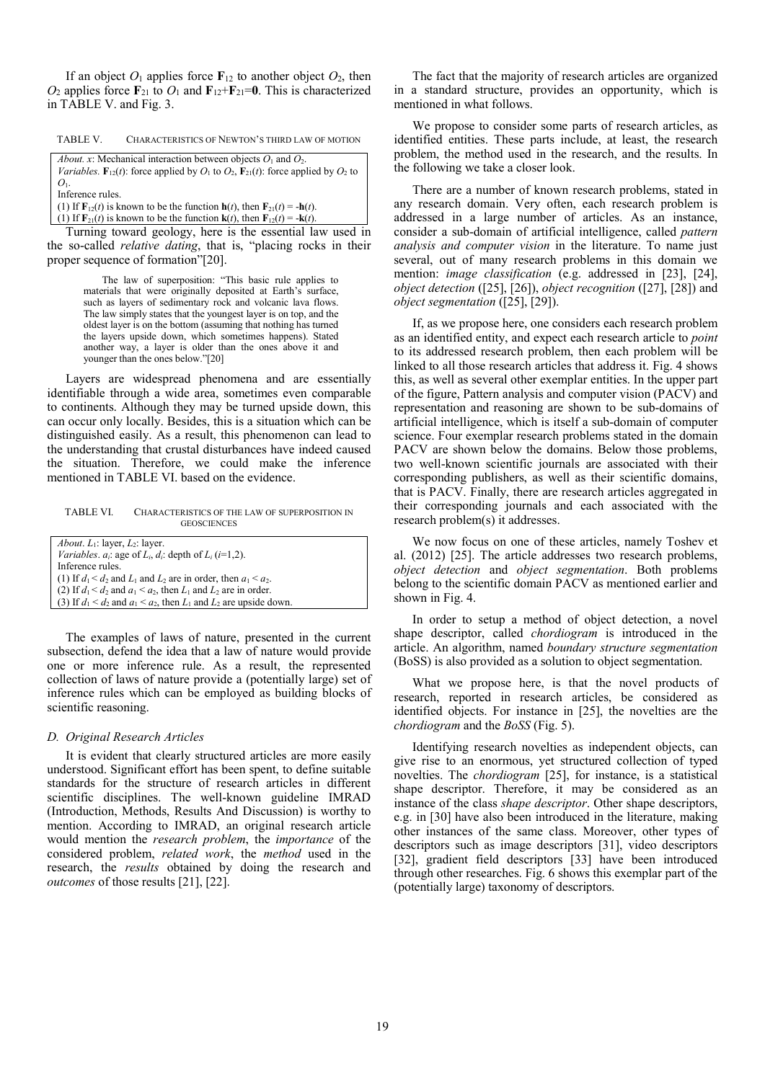If an object  $O_1$  applies force  $\mathbf{F}_{12}$  to another object  $O_2$ , then  $O_2$  applies force  $\mathbf{F}_{21}$  to  $O_1$  and  $\mathbf{F}_{12} + \mathbf{F}_{21} = \mathbf{0}$ . This is characterized in TABLE V. and Fig. 3.

| <b>TABLE V.</b> |  | CHARACTERISTICS OF NEWTON'S THIRD LAW OF MOTION |
|-----------------|--|-------------------------------------------------|
|-----------------|--|-------------------------------------------------|

*About. x*: Mechanical interaction between objects  $O_1$  and  $O_2$ .

*Variables.*  $\mathbf{F}_{12}(t)$ : force applied by  $O_1$  to  $O_2$ ,  $\mathbf{F}_{21}(t)$ : force applied by  $O_2$  to  $O<sub>1</sub>$ .

Inference rules.

(1) If  $\mathbf{F}_{12}(t)$  is known to be the function  $\mathbf{h}(t)$ , then  $\mathbf{F}_{21}(t) = -\mathbf{h}(t)$ .

(1) If  $\mathbf{F}_{21}(t)$  is known to be the function  $\mathbf{k}(t)$ , then  $\mathbf{F}_{12}(t) = -\mathbf{k}(t)$ .

Turning toward geology, here is the essential law used in the so-called *relative dating*, that is, "placing rocks in their proper sequence of formation"[20].

> The law of superposition: "This basic rule applies to materials that were originally deposited at Earth's surface, such as layers of sedimentary rock and volcanic lava flows. The law simply states that the youngest layer is on top, and the oldest layer is on the bottom (assuming that nothing has turned the layers upside down, which sometimes happens). Stated another way, a layer is older than the ones above it and younger than the ones below."[20]

Layers are widespread phenomena and are essentially identifiable through a wide area, sometimes even comparable to continents. Although they may be turned upside down, this can occur only locally. Besides, this is a situation which can be distinguished easily. As a result, this phenomenon can lead to the understanding that crustal disturbances have indeed caused the situation. Therefore, we could make the inference mentioned in TABLE VI. based on the evidence.

TABLE VI. CHARACTERISTICS OF THE LAW OF SUPERPOSITION IN **GEOSCIENCES** 

The examples of laws of nature, presented in the current subsection, defend the idea that a law of nature would provide one or more inference rule. As a result, the represented collection of laws of nature provide a (potentially large) set of inference rules which can be employed as building blocks of scientific reasoning.

### *D. Original Research Articles*

It is evident that clearly structured articles are more easily understood. Significant effort has been spent, to define suitable standards for the structure of research articles in different scientific disciplines. The well-known guideline IMRAD (Introduction, Methods, Results And Discussion) is worthy to mention. According to IMRAD, an original research article would mention the *research problem*, the *importance* of the considered problem, *related work*, the *method* used in the research, the *results* obtained by doing the research and *outcomes* of those results [21], [22].

The fact that the majority of research articles are organized in a standard structure, provides an opportunity, which is mentioned in what follows.

We propose to consider some parts of research articles, as identified entities. These parts include, at least, the research problem, the method used in the research, and the results. In the following we take a closer look.

There are a number of known research problems, stated in any research domain. Very often, each research problem is addressed in a large number of articles. As an instance, consider a sub-domain of artificial intelligence, called *pattern analysis and computer vision* in the literature. To name just several, out of many research problems in this domain we mention: *image classification* (e.g. addressed in [23], [24], *object detection* ([25], [26]), *object recognition* ([27], [28]) and *object segmentation* ([25], [29]).

If, as we propose here, one considers each research problem as an identified entity, and expect each research article to *point* to its addressed research problem, then each problem will be linked to all those research articles that address it. Fig. 4 shows this, as well as several other exemplar entities. In the upper part of the figure, Pattern analysis and computer vision (PACV) and representation and reasoning are shown to be sub-domains of artificial intelligence, which is itself a sub-domain of computer science. Four exemplar research problems stated in the domain PACV are shown below the domains. Below those problems, two well-known scientific journals are associated with their corresponding publishers, as well as their scientific domains, that is PACV. Finally, there are research articles aggregated in their corresponding journals and each associated with the research problem(s) it addresses.

We now focus on one of these articles, namely Toshev et al. (2012) [25]. The article addresses two research problems, *object detection* and *object segmentation*. Both problems belong to the scientific domain PACV as mentioned earlier and shown in Fig. 4.

In order to setup a method of object detection, a novel shape descriptor, called *chordiogram* is introduced in the article. An algorithm, named *boundary structure segmentation* (BoSS) is also provided as a solution to object segmentation.

What we propose here, is that the novel products of research, reported in research articles, be considered as identified objects. For instance in [25], the novelties are the *chordiogram* and the *BoSS* (Fig. 5).

Identifying research novelties as independent objects, can give rise to an enormous, yet structured collection of typed novelties. The *chordiogram* [25], for instance, is a statistical shape descriptor. Therefore, it may be considered as an instance of the class *shape descriptor*. Other shape descriptors, e.g. in [30] have also been introduced in the literature, making other instances of the same class. Moreover, other types of descriptors such as image descriptors [31], video descriptors [32], gradient field descriptors [33] have been introduced through other researches. Fig. 6 shows this exemplar part of the (potentially large) taxonomy of descriptors.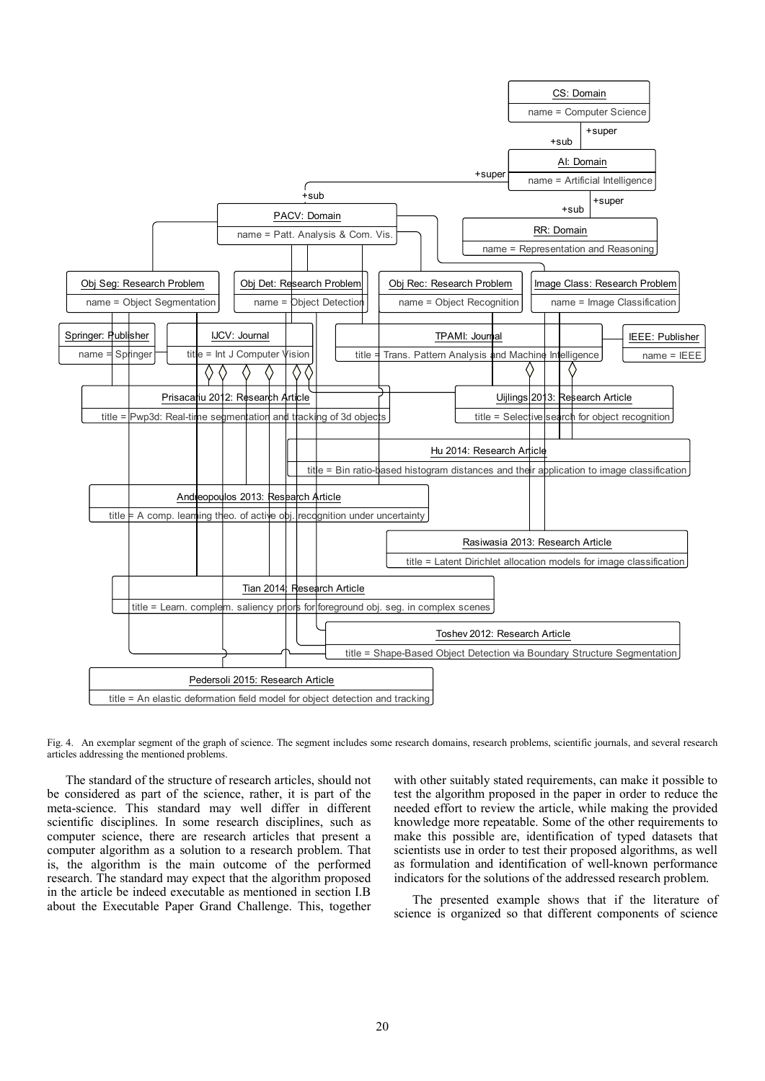

Fig. 4. An exemplar segment of the graph of science. The segment includes some research domains, research problems, scientific journals, and several research articles addressing the mentioned problems.

The standard of the structure of research articles, should not be considered as part of the science, rather, it is part of the meta-science. This standard may well differ in different scientific disciplines. In some research disciplines, such as computer science, there are research articles that present a computer algorithm as a solution to a research problem. That is, the algorithm is the main outcome of the performed research. The standard may expect that the algorithm proposed in the article be indeed executable as mentioned in section I.B about the Executable Paper Grand Challenge. This, together with other suitably stated requirements, can make it possible to test the algorithm proposed in the paper in order to reduce the needed effort to review the article, while making the provided knowledge more repeatable. Some of the other requirements to make this possible are, identification of typed datasets that scientists use in order to test their proposed algorithms, as well as formulation and identification of well-known performance indicators for the solutions of the addressed research problem.

The presented example shows that if the literature of science is organized so that different components of science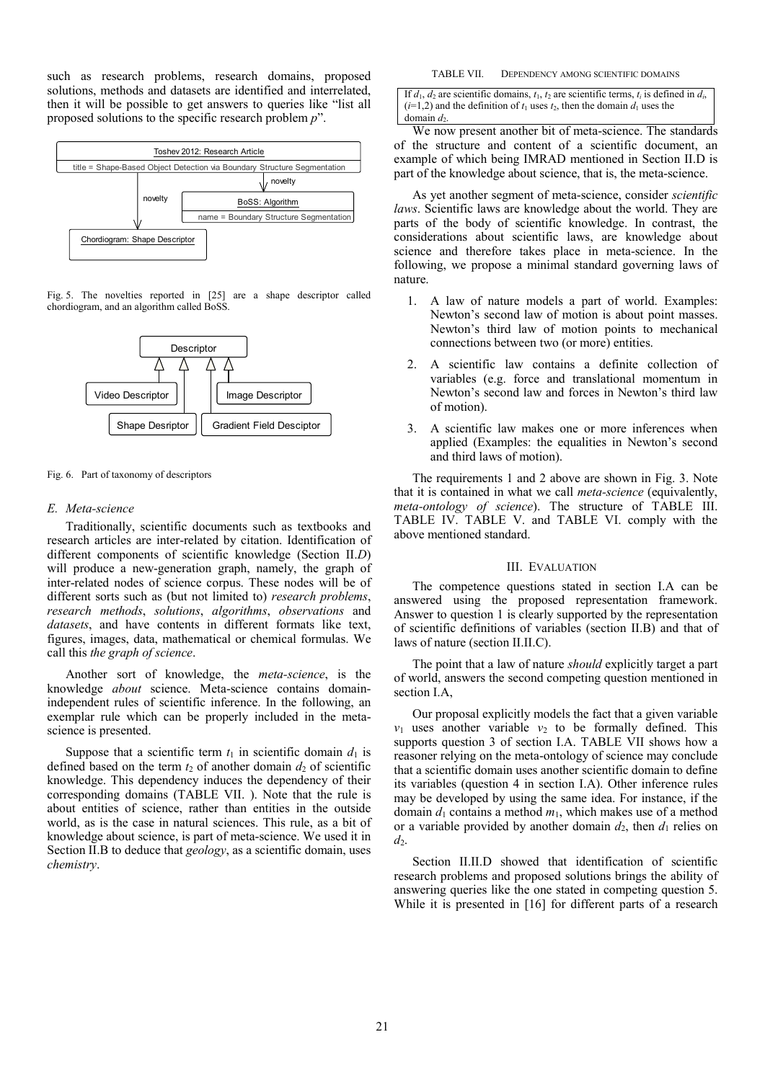such as research problems, research domains, proposed solutions, methods and datasets are identified and interrelated, then it will be possible to get answers to queries like "list all proposed solutions to the specific research problem *p*".



Fig. 5. The novelties reported in [25] are a shape descriptor called chordiogram, and an algorithm called BoSS.



# Fig. 6. Part of taxonomy of descriptors

# *E. Meta-science*

Traditionally, scientific documents such as textbooks and research articles are inter-related by citation. Identification of different components of scientific knowledge (Section II.*D*) will produce a new-generation graph, namely, the graph of inter-related nodes of science corpus. These nodes will be of different sorts such as (but not limited to) *research problems*, *research methods*, *solutions*, *algorithms*, *observations* and *datasets*, and have contents in different formats like text, figures, images, data, mathematical or chemical formulas. We call this *the graph of science*.

Another sort of knowledge, the *meta-science*, is the knowledge *about* science. Meta-science contains domainindependent rules of scientific inference. In the following, an exemplar rule which can be properly included in the metascience is presented.

Suppose that a scientific term  $t_1$  in scientific domain  $d_1$  is defined based on the term  $t_2$  of another domain  $d_2$  of scientific knowledge. This dependency induces the dependency of their corresponding domains (TABLE VII. ). Note that the rule is about entities of science, rather than entities in the outside world, as is the case in natural sciences. This rule, as a bit of knowledge about science, is part of meta-science. We used it in Section II.B to deduce that *geology*, as a scientific domain, uses *chemistry*.

#### TABLE VII. DEPENDENCY AMONG SCIENTIFIC DOMAINS

If  $d_1$ ,  $d_2$  are scientific domains,  $t_1$ ,  $t_2$  are scientific terms,  $t_i$  is defined in  $d_i$ .  $(i=1,2)$  and the definition of  $t_1$  uses  $t_2$ , then the domain  $d_1$  uses the domain  $d_2$ 

We now present another bit of meta-science. The standards of the structure and content of a scientific document, an example of which being IMRAD mentioned in Section II.D is part of the knowledge about science, that is, the meta-science.

As yet another segment of meta-science, consider *scientific laws*. Scientific laws are knowledge about the world. They are parts of the body of scientific knowledge. In contrast, the considerations about scientific laws, are knowledge about science and therefore takes place in meta-science. In the following, we propose a minimal standard governing laws of nature.

- 1. A law of nature models a part of world. Examples: Newton's second law of motion is about point masses. Newton's third law of motion points to mechanical connections between two (or more) entities.
- 2. A scientific law contains a definite collection of variables (e.g. force and translational momentum in Newton's second law and forces in Newton's third law of motion).
- 3. A scientific law makes one or more inferences when applied (Examples: the equalities in Newton's second and third laws of motion).

The requirements 1 and 2 above are shown in Fig. 3. Note that it is contained in what we call *meta-science* (equivalently, *meta-ontology of science*). The structure of TABLE III. TABLE IV. TABLE V. and TABLE VI. comply with the above mentioned standard.

# III. EVALUATION

The competence questions stated in section I.A can be answered using the proposed representation framework. Answer to question 1 is clearly supported by the representation of scientific definitions of variables (section II.B) and that of laws of nature (section II.II.C).

The point that a law of nature *should* explicitly target a part of world, answers the second competing question mentioned in section I.A,

Our proposal explicitly models the fact that a given variable  $v_1$  uses another variable  $v_2$  to be formally defined. This supports question 3 of section I.A. TABLE VII shows how a reasoner relying on the meta-ontology of science may conclude that a scientific domain uses another scientific domain to define its variables (question 4 in section I.A). Other inference rules may be developed by using the same idea. For instance, if the domain  $d_1$  contains a method  $m_1$ , which makes use of a method or a variable provided by another domain  $d_2$ , then  $d_1$  relies on  $d_2$ .

Section II.II.D showed that identification of scientific research problems and proposed solutions brings the ability of answering queries like the one stated in competing question 5. While it is presented in [16] for different parts of a research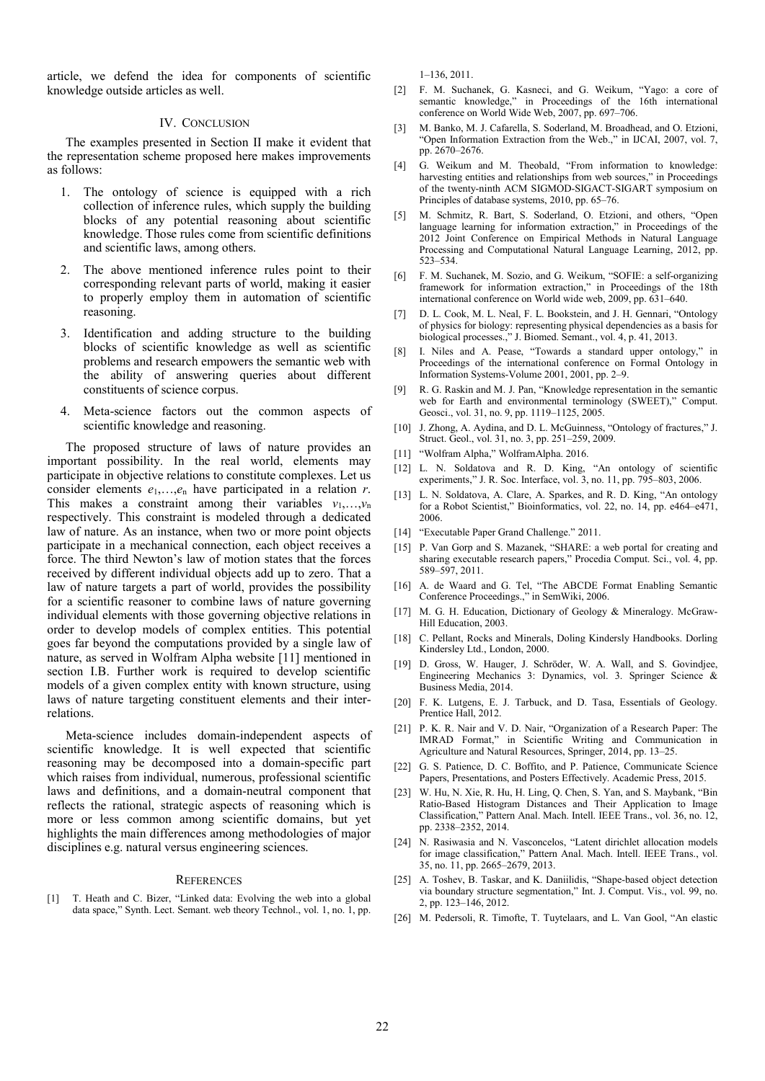article, we defend the idea for components of scientific knowledge outside articles as well.

## IV. CONCLUSION

The examples presented in Section II make it evident that the representation scheme proposed here makes improvements as follows:

- 1. The ontology of science is equipped with a rich collection of inference rules, which supply the building blocks of any potential reasoning about scientific knowledge. Those rules come from scientific definitions and scientific laws, among others.
- 2. The above mentioned inference rules point to their corresponding relevant parts of world, making it easier to properly employ them in automation of scientific reasoning.
- 3. Identification and adding structure to the building blocks of scientific knowledge as well as scientific problems and research empowers the semantic web with the ability of answering queries about different constituents of science corpus.
- 4. Meta-science factors out the common aspects of scientific knowledge and reasoning.

The proposed structure of laws of nature provides an important possibility. In the real world, elements may participate in objective relations to constitute complexes. Let us consider elements  $e_1, \ldots, e_n$  have participated in a relation *r*. This makes a constraint among their variables  $v_1, \ldots, v_n$ respectively. This constraint is modeled through a dedicated law of nature. As an instance, when two or more point objects participate in a mechanical connection, each object receives a force. The third Newton's law of motion states that the forces received by different individual objects add up to zero. That a law of nature targets a part of world, provides the possibility for a scientific reasoner to combine laws of nature governing individual elements with those governing objective relations in order to develop models of complex entities. This potential goes far beyond the computations provided by a single law of nature, as served in Wolfram Alpha website [11] mentioned in section I.B. Further work is required to develop scientific models of a given complex entity with known structure, using laws of nature targeting constituent elements and their interrelations.

Meta-science includes domain-independent aspects of scientific knowledge. It is well expected that scientific reasoning may be decomposed into a domain-specific part which raises from individual, numerous, professional scientific laws and definitions, and a domain-neutral component that reflects the rational, strategic aspects of reasoning which is more or less common among scientific domains, but yet highlights the main differences among methodologies of major disciplines e.g. natural versus engineering sciences.

## **REFERENCES**

[1] T. Heath and C. Bizer, "Linked data: Evolving the web into a global data space," Synth. Lect. Semant. web theory Technol., vol. 1, no. 1, pp.

1–136, 2011.

- [2] F. M. Suchanek, G. Kasneci, and G. Weikum, "Yago: a core of semantic knowledge," in Proceedings of the 16th international conference on World Wide Web, 2007, pp. 697–706.
- [3] M. Banko, M. J. Cafarella, S. Soderland, M. Broadhead, and O. Etzioni, "Open Information Extraction from the Web.," in IJCAI, 2007, vol. 7, pp. 2670–2676.
- [4] G. Weikum and M. Theobald, "From information to knowledge: harvesting entities and relationships from web sources," in Proceedings of the twenty-ninth ACM SIGMOD-SIGACT-SIGART symposium on Principles of database systems, 2010, pp. 65–76.
- [5] M. Schmitz, R. Bart, S. Soderland, O. Etzioni, and others, "Open language learning for information extraction," in Proceedings of the 2012 Joint Conference on Empirical Methods in Natural Language Processing and Computational Natural Language Learning, 2012, pp. 523–534.
- [6] F. M. Suchanek, M. Sozio, and G. Weikum, "SOFIE: a self-organizing framework for information extraction," in Proceedings of the 18th international conference on World wide web, 2009, pp. 631–640.
- [7] D. L. Cook, M. L. Neal, F. L. Bookstein, and J. H. Gennari, "Ontology of physics for biology: representing physical dependencies as a basis for biological processes.," J. Biomed. Semant., vol. 4, p. 41, 2013.
- [8] I. Niles and A. Pease, "Towards a standard upper ontology," in Proceedings of the international conference on Formal Ontology in Information Systems-Volume 2001, 2001, pp. 2–9.
- [9] R. G. Raskin and M. J. Pan. "Knowledge representation in the semantic web for Earth and environmental terminology (SWEET)," Comput. Geosci., vol. 31, no. 9, pp. 1119–1125, 2005.
- [10] J. Zhong, A. Aydina, and D. L. McGuinness, "Ontology of fractures," J. Struct. Geol., vol. 31, no. 3, pp. 251–259, 2009.
- [11] "Wolfram Alpha," WolframAlpha. 2016.
- [12] L. N. Soldatova and R. D. King, "An ontology of scientific experiments," J. R. Soc. Interface, vol. 3, no. 11, pp. 795–803, 2006.
- [13] L. N. Soldatova, A. Clare, A. Sparkes, and R. D. King, "An ontology for a Robot Scientist," Bioinformatics, vol. 22, no. 14, pp. e464–e471, 2006.
- [14] "Executable Paper Grand Challenge." 2011.
- [15] P. Van Gorp and S. Mazanek, "SHARE: a web portal for creating and sharing executable research papers," Procedia Comput. Sci., vol. 4, pp. 589–597, 2011.
- [16] A. de Waard and G. Tel, "The ABCDE Format Enabling Semantic Conference Proceedings.," in SemWiki, 2006.
- [17] M. G. H. Education, Dictionary of Geology & Mineralogy. McGraw-Hill Education, 2003.
- [18] C. Pellant, Rocks and Minerals, Doling Kindersly Handbooks. Dorling Kindersley Ltd., London, 2000.
- [19] D. Gross, W. Hauger, J. Schröder, W. A. Wall, and S. Govindjee, Engineering Mechanics 3: Dynamics, vol. 3. Springer Science & Business Media, 2014.
- [20] F. K. Lutgens, E. J. Tarbuck, and D. Tasa, Essentials of Geology. Prentice Hall, 2012.
- [21] P. K. R. Nair and V. D. Nair, "Organization of a Research Paper: The IMRAD Format," in Scientific Writing and Communication in Agriculture and Natural Resources, Springer, 2014, pp. 13–25.
- [22] G. S. Patience, D. C. Boffito, and P. Patience, Communicate Science Papers, Presentations, and Posters Effectively. Academic Press, 2015.
- [23] W. Hu, N. Xie, R. Hu, H. Ling, Q. Chen, S. Yan, and S. Maybank, "Bin Ratio-Based Histogram Distances and Their Application to Image Classification," Pattern Anal. Mach. Intell. IEEE Trans., vol. 36, no. 12, pp. 2338–2352, 2014.
- [24] N. Rasiwasia and N. Vasconcelos, "Latent dirichlet allocation models for image classification," Pattern Anal. Mach. Intell. IEEE Trans., vol. 35, no. 11, pp. 2665–2679, 2013.
- [25] A. Toshev, B. Taskar, and K. Daniilidis, "Shape-based object detection via boundary structure segmentation," Int. J. Comput. Vis., vol. 99, no. 2, pp. 123–146, 2012.
- [26] M. Pedersoli, R. Timofte, T. Tuytelaars, and L. Van Gool, "An elastic